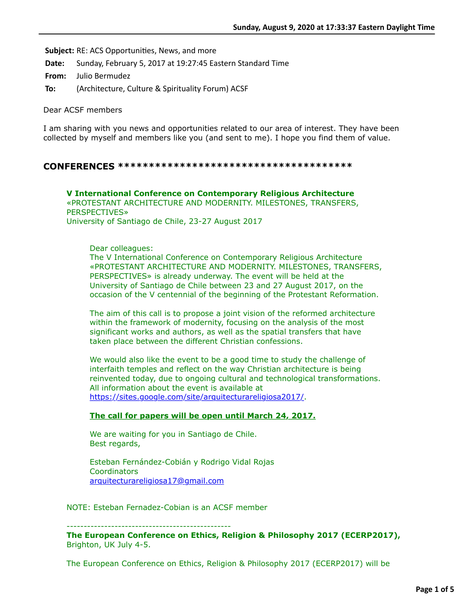**Subject:** RE: ACS Opportunities, News, and more

**Date:** Sunday, February 5, 2017 at 19:27:45 Eastern Standard Time

**From:** Julio Bermudez

**To:** (Architecture, Culture & Spirituality Forum) ACSF

Dear ACSF members

I am sharing with you news and opportunities related to our area of interest. They have been collected by myself and members like you (and sent to me). I hope you find them of value.

## **CONFERENCES \*\*\*\*\*\*\*\*\*\*\*\*\*\*\*\*\*\*\*\*\*\*\*\*\*\*\*\*\*\*\*\*\*\*\*\*\*\***

**V International Conference on Contemporary Religious Architecture** «PROTESTANT ARCHITECTURE AND MODERNITY. MILESTONES, TRANSFERS, PERSPECTIVES» University of Santiago de Chile, 23-27 August 2017

### Dear colleagues:

The V International Conference on Contemporary Religious Architecture «PROTESTANT ARCHITECTURE AND MODERNITY. MILESTONES, TRANSFERS, PERSPECTIVES» is already underway. The event will be held at the University of Santiago de Chile between 23 and 27 August 2017, on the occasion of the V centennial of the beginning of the Protestant Reformation.

The aim of this call is to propose a joint vision of the reformed architecture within the framework of modernity, focusing on the analysis of the most significant works and authors, as well as the spatial transfers that have taken place between the different Christian confessions.

We would also like the event to be a good time to study the challenge of interfaith temples and reflect on the way Christian architecture is being reinvented today, due to ongoing cultural and technological transformations. All information about the event is available at [https://sites.google.com/site/arquitecturareligiosa2017/.](https://sites.google.com/site/arquitecturareligiosa2017/)

### **The call for papers will be open until March 24, 2017.**

We are waiting for you in Santiago de Chile. Best regards,

Esteban Fernández-Cobián y Rodrigo Vidal Rojas **Coordinators** [arquitecturareligiosa17@gmail.com](applewebdata://B1611A84-8882-4DA1-86A8-EA9C0D165CC2/arquitecturareligiosa17@gmail.com)

NOTE: Esteban Fernadez-Cobian is an ACSF member

------------------------------------------------ **The European Conference on Ethics, Religion & Philosophy 2017 (ECERP2017),**  Brighton, UK July 4-5.

The European Conference on Ethics, Religion & Philosophy 2017 (ECERP2017) will be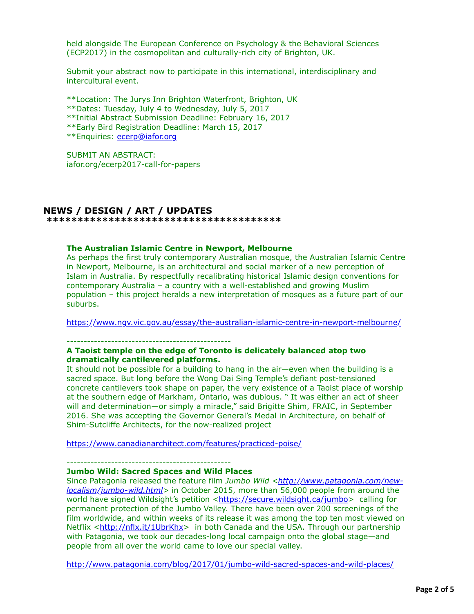held alongside The European Conference on Psychology & the Behavioral Sciences (ECP2017) in the cosmopolitan and culturally-rich city of Brighton, UK.

Submit your abstract now to participate in this international, interdisciplinary and intercultural event.

\*\*Location: The Jurys Inn Brighton Waterfront, Brighton, UK

- \*\*Dates: Tuesday, July 4 to Wednesday, July 5, 2017
- \*\*Initial Abstract Submission Deadline: February 16, 2017
- \*\*Early Bird Registration Deadline: March 15, 2017

\*\*Enquiries: [ecerp@iafor.org](applewebdata://B1611A84-8882-4DA1-86A8-EA9C0D165CC2/ecerp@iafor.org)

SUBMIT AN ABSTRACT: iafor.org/ecerp2017-call-for-papers

# **NEWS / DESIGN / ART / UPDATES**

 **\*\*\*\*\*\*\*\*\*\*\*\*\*\*\*\*\*\*\*\*\*\*\*\*\*\*\*\*\*\*\*\*\*\*\*\*\*\***

#### **The Australian Islamic Centre in Newport, Melbourne**

As perhaps the first truly contemporary Australian mosque, the Australian Islamic Centre in Newport, Melbourne, is an architectural and social marker of a new perception of Islam in Australia. By respectfully recalibrating historical Islamic design conventions for contemporary Australia – a country with a well-established and growing Muslim population – this project heralds a new interpretation of mosques as a future part of our suburbs.

<https://www.ngv.vic.gov.au/essay/the-australian-islamic-centre-in-newport-melbourne/>

------------------------------------------------

# **A Taoist temple on the edge of Toronto is delicately balanced atop two dramatically cantilevered platforms.**

It should not be possible for a building to hang in the air—even when the building is a sacred space. But long before the Wong Dai Sing Temple's defiant post-tensioned concrete cantilevers took shape on paper, the very existence of a Taoist place of worship at the southern edge of Markham, Ontario, was dubious. " It was either an act of sheer will and determination—or simply a miracle," said Brigitte Shim, FRAIC, in September 2016. She was accepting the Governor General's Medal in Architecture, on behalf of Shim-Sutcliffe Architects, for the now-realized project

<https://www.canadianarchitect.com/features/practiced-poise/>

------------------------------------------------

# **Jumbo Wild: Sacred Spaces and Wild Places**

Since Patagonia released the feature film *Jumbo Wild <http://www.patagonia.com/newlocalism/jumbo-wild.html>* [in October 2015, more than 56,000 people from around the](http://www.patagonia.com/new-localism/jumbo-wild.html) world have signed Wildsight's petition <[https://secure.wildsight.ca/jumbo>](https://secure.wildsight.ca/jumbo) calling for permanent protection of the Jumbo Valley. There have been over 200 screenings of the film worldwide, and within weeks of its release it was among the top ten most viewed on Netflix <[http://nflx.it/1UbrKhx>](http://nflx.it/1UbrKhx) in both Canada and the USA. Through our partnership with Patagonia, we took our decades-long local campaign onto the global stage—and people from all over the world came to love our special valley.

<http://www.patagonia.com/blog/2017/01/jumbo-wild-sacred-spaces-and-wild-places/>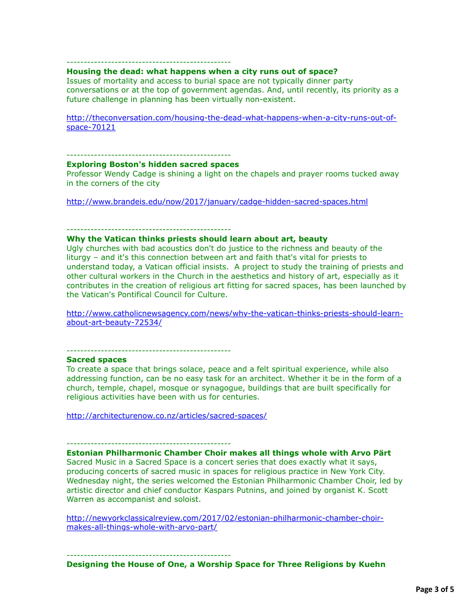# http://www.patagonia.com/blog/2017/01/jumbo-wild-sacred-spaces-and-wild-places/

# ------------------------------------------------

#### **Housing the dead: what happens when a city runs out of space?**

Issues of mortality and access to burial space are not typically dinner party conversations or at the top of government agendas. And, until recently, its priority as a future challenge in planning has been virtually non-existent.

[http://theconversation.com/housing-the-dead-what-happens-when-a-city-runs-out-of](http://theconversation.com/housing-the-dead-what-happens-when-a-city-runs-out-of-space-70121)space-70121

# ------------------------------------------------

**Exploring Boston's hidden sacred spaces**

Professor Wendy Cadge is shining a light on the chapels and prayer rooms tucked away in the corners of the city

<http://www.brandeis.edu/now/2017/january/cadge-hidden-sacred-spaces.html>

------------------------------------------------

### **Why the Vatican thinks priests should learn about art, beauty**

Ugly churches with bad acoustics don't do justice to the richness and beauty of the liturgy – and it's this connection between art and faith that's vital for priests to understand today, a Vatican official insists. A project to study the training of priests and other cultural workers in the Church in the aesthetics and history of art, especially as it contributes in the creation of religious art fitting for sacred spaces, has been launched by the Vatican's Pontifical Council for Culture.

[http://www.catholicnewsagency.com/news/why-the-vatican-thinks-priests-should-learn](http://www.catholicnewsagency.com/news/why-the-vatican-thinks-priests-should-learn-about-art-beauty-72534/)about-art-beauty-72534/

------------------------------------------------

#### **Sacred spaces**

To create a space that brings solace, peace and a felt spiritual experience, while also addressing function, can be no easy task for an architect. Whether it be in the form of a church, temple, chapel, mosque or synagogue, buildings that are built specifically for religious activities have been with us for centuries.

<http://architecturenow.co.nz/articles/sacred-spaces/>

#### ------------------------------------------------

# **Estonian Philharmonic Chamber Choir makes all things whole with Arvo Pärt**

Sacred Music in a Sacred Space is a concert series that does exactly what it says, producing concerts of sacred music in spaces for religious practice in New York City. Wednesday night, the series welcomed the Estonian Philharmonic Chamber Choir, led by artistic director and chief conductor Kaspars Putnins, and joined by organist K. Scott Warren as accompanist and soloist.

[http://newyorkclassicalreview.com/2017/02/estonian-philharmonic-chamber-choir](http://newyorkclassicalreview.com/2017/02/estonian-philharmonic-chamber-choir-makes-all-things-whole-with-arvo-part/)makes-all-things-whole-with-arvo-part/

------------------------------------------------

# **Designing the House of One, a Worship Space for Three Religions by Kuehn**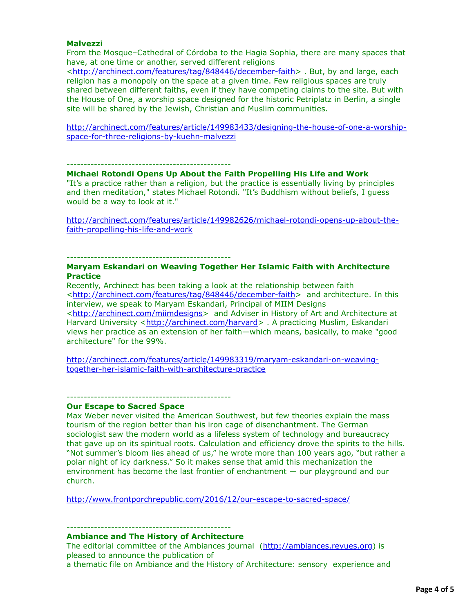#### **Malvezzi**

From the Mosque–Cathedral of Córdoba to the Hagia Sophia, there are many spaces that have, at one time or another, served different religions

<<http://archinect.com/features/tag/848446/december-faith>> . But, by and large, each religion has a monopoly on the space at a given time. Few religious spaces are truly shared between different faiths, even if they have competing claims to the site. But with the House of One, a worship space designed for the historic Petriplatz in Berlin, a single site will be shared by the Jewish, Christian and Muslim communities.

[http://archinect.com/features/article/149983433/designing-the-house-of-one-a-worship](http://archinect.com/features/article/149983433/designing-the-house-of-one-a-worship-space-for-three-religions-by-kuehn-malvezzi)space-for-three-religions-by-kuehn-malvezzi

------------------------------------------------

#### **Michael Rotondi Opens Up About the Faith Propelling His Life and Work**

"It's a practice rather than a religion, but the practice is essentially living by principles and then meditation," states Michael Rotondi. "It's Buddhism without beliefs, I guess would be a way to look at it."

[http://archinect.com/features/article/149982626/michael-rotondi-opens-up-about-the](http://archinect.com/features/article/149982626/michael-rotondi-opens-up-about-the-faith-propelling-his-life-and-work)faith-propelling-his-life-and-work

------------------------------------------------

## **Maryam Eskandari on Weaving Together Her Islamic Faith with Architecture Practice**

Recently, Archinect has been taking a look at the relationship between faith <<http://archinect.com/features/tag/848446/december-faith>> and architecture. In this interview, we speak to Maryam Eskandari, Principal of MIIM Designs <[http://archinect.com/miimdesigns>](http://archinect.com/miimdesigns) and Adviser in History of Art and Architecture at Harvard University <<http://archinect.com/harvard>> . A practicing Muslim, Eskandari views her practice as an extension of her faith—which means, basically, to make "good architecture" for the 99%.

[http://archinect.com/features/article/149983319/maryam-eskandari-on-weaving](http://archinect.com/features/article/149983319/maryam-eskandari-on-weaving-together-her-islamic-faith-with-architecture-practice)together-her-islamic-faith-with-architecture-practice

------------------------------------------------

### **Our Escape to Sacred Space**

Max Weber never visited the American Southwest, but few theories explain the mass tourism of the region better than his iron cage of disenchantment. The German sociologist saw the modern world as a lifeless system of technology and bureaucracy that gave up on its spiritual roots. Calculation and efficiency drove the spirits to the hills. "Not summer's bloom lies ahead of us," he wrote more than 100 years ago, "but rather a polar night of icy darkness." So it makes sense that amid this mechanization the environment has become the last frontier of enchantment — our playground and our church.

<http://www.frontporchrepublic.com/2016/12/our-escape-to-sacred-space/>

#### ------------------------------------------------ **Ambiance and The History of Architecture**

The editorial committee of the Ambiances journal ([http://ambiances.revues.org](http://ambiances.revues.org/)) is pleased to announce the publication of a thematic file on Ambiance and the History of Architecture: sensory experience and